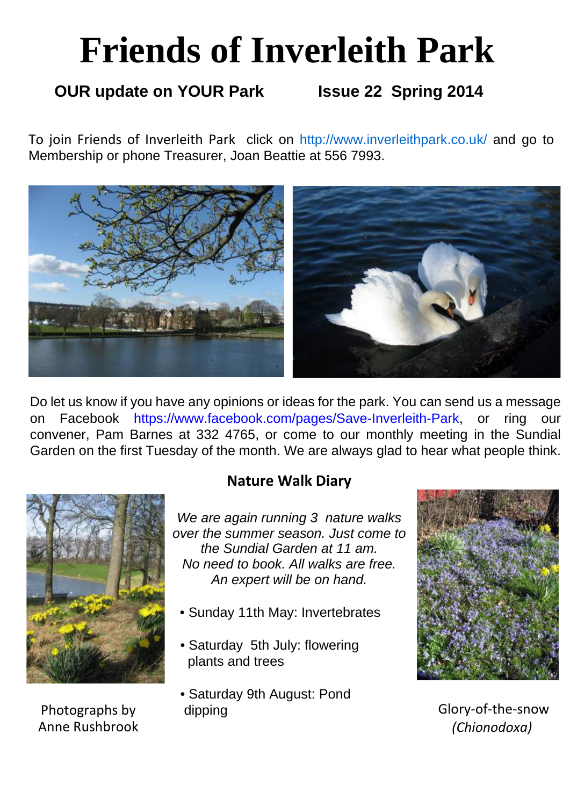# **Friends of Inverleith Park**

## **OUR update on YOUR Park Issue 22 Spring 2014**

To join Friends of Inverleith Park click on http://www.inverleithpark.co.uk/ and go to Membership or phone Treasurer, Joan Beattie at 556 7993.



Do let us know if you have any opinions or ideas for the park. You can send us a message on Facebook https://www.facebook.com/pages/Save-Inverleith-Park, or ring our convener, Pam Barnes at 332 4765, or come to our monthly meeting in the Sundial Garden on the first Tuesday of the month. We are always glad to hear what people think.



Photographs by Anne Rushbrook

#### **Nature Walk Diary**

We are again running 3 nature walks over the summer season. Just come to the Sundial Garden at 11 am No need to book. All walks are free. An expert will be on hand.

- Sunday 11th May: Invertebrates
- Saturday 5th July: flowering plants and trees
- Saturday 9th August: Pond dipping dipping Glory-of-the-snow



*(Chionodoxa)*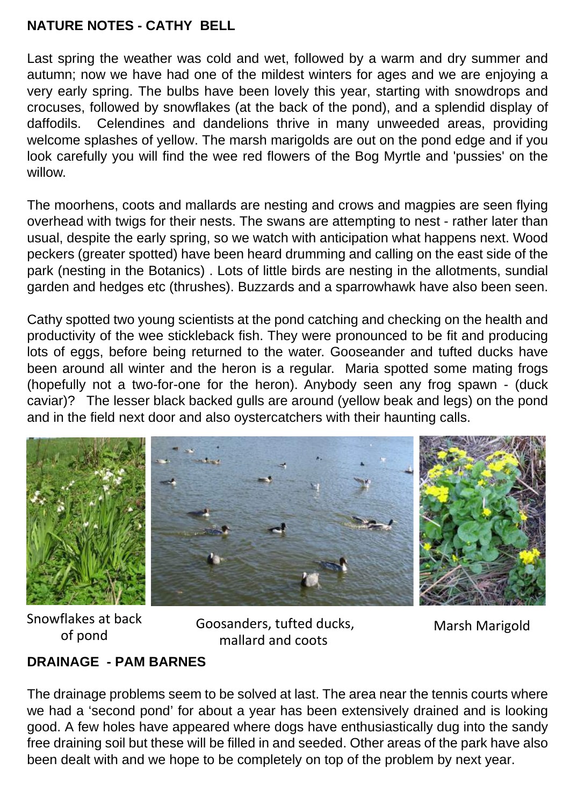#### **NATURE NOTES - CATHY BELL**

Last spring the weather was cold and wet, followed by a warm and dry summer and autumn; now we have had one of the mildest winters for ages and we are enjoying a very early spring. The bulbs have been lovely this year, starting with snowdrops and crocuses, followed by snowflakes (at the back of the pond), and a splendid display of daffodils. Celendines and dandelions thrive in many unweeded areas, providing welcome splashes of yellow. The marsh marigolds are out on the pond edge and if you look carefully you will find the wee red flowers of the Bog Myrtle and 'pussies' on the willow.

The moorhens, coots and mallards are nesting and crows and magpies are seen flying overhead with twigs for their nests. The swans are attempting to nest - rather later than usual, despite the early spring, so we watch with anticipation what happens next. Wood peckers (greater spotted) have been heard drumming and calling on the east side of the park (nesting in the Botanics) . Lots of little birds are nesting in the allotments, sundial garden and hedges etc (thrushes). Buzzards and a sparrowhawk have also been seen.

Cathy spotted two young scientists at the pond catching and checking on the health and productivity of the wee stickleback fish. They were pronounced to be fit and producing lots of eggs, before being returned to the water. Gooseander and tufted ducks have been around all winter and the heron is a regular. Maria spotted some mating frogs (hopefully not a two-for-one for the heron). Anybody seen any frog spawn - (duck caviar)? The lesser black backed gulls are around (yellow beak and legs) on the pond and in the field next door and also oystercatchers with their haunting calls.



Snowflakes at back of pond

Goosanders, tufted ducks, Marsh Marigold mallard and coots

#### **DRAINAGE - PAM BARNES**

The drainage problems seem to be solved at last. The area near the tennis courts where we had a 'second pond' for about a year has been extensively drained and is looking good. A few holes have appeared where dogs have enthusiastically dug into the sandy free draining soil but these will be filled in and seeded. Other areas of the park have also been dealt with and we hope to be completely on top of the problem by next year.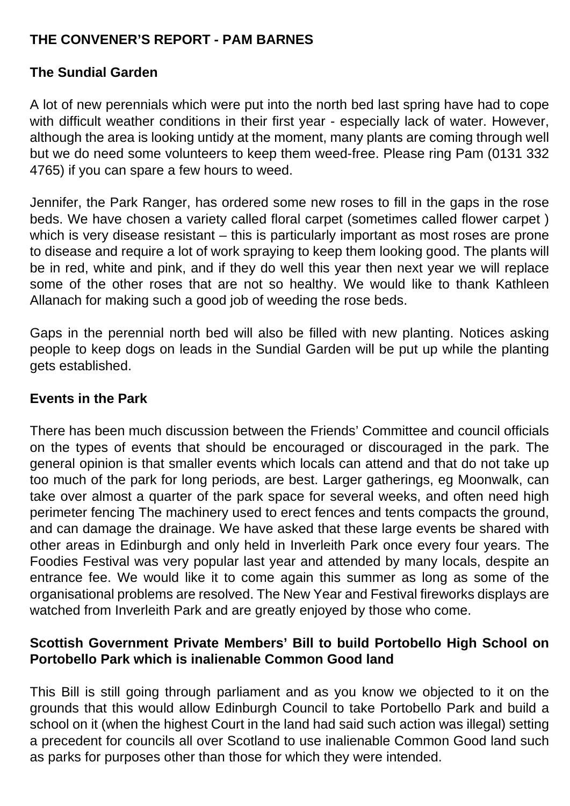#### **THE CONVENER'S REPORT - PAM BARNES**

#### **The Sundial Garden**

A lot of new perennials which were put into the north bed last spring have had to cope with difficult weather conditions in their first year - especially lack of water. However, although the area is looking untidy at the moment, many plants are coming through well but we do need some volunteers to keep them weed-free. Please ring Pam (0131 332 4765) if you can spare a few hours to weed.

Jennifer, the Park Ranger, has ordered some new roses to fill in the gaps in the rose beds. We have chosen a variety called floral carpet (sometimes called flower carpet ) which is very disease resistant – this is particularly important as most roses are prone to disease and require a lot of work spraying to keep them looking good. The plants will be in red, white and pink, and if they do well this year then next year we will replace some of the other roses that are not so healthy. We would like to thank Kathleen Allanach for making such a good job of weeding the rose beds.

Gaps in the perennial north bed will also be filled with new planting. Notices asking people to keep dogs on leads in the Sundial Garden will be put up while the planting gets established.

#### **Events in the Park**

There has been much discussion between the Friends' Committee and council officials on the types of events that should be encouraged or discouraged in the park. The general opinion is that smaller events which locals can attend and that do not take up too much of the park for long periods, are best. Larger gatherings, eg Moonwalk, can take over almost a quarter of the park space for several weeks, and often need high perimeter fencing The machinery used to erect fences and tents compacts the ground, and can damage the drainage. We have asked that these large events be shared with other areas in Edinburgh and only held in Inverleith Park once every four years. The Foodies Festival was very popular last year and attended by many locals, despite an entrance fee. We would like it to come again this summer as long as some of the organisational problems are resolved. The New Year and Festival fireworks displays are watched from Inverleith Park and are greatly enjoyed by those who come.

#### **Scottish Government Private Members' Bill to build Portobello High School on Portobello Park which is inalienable Common Good land**

This Bill is still going through parliament and as you know we objected to it on the grounds that this would allow Edinburgh Council to take Portobello Park and build a school on it (when the highest Court in the land had said such action was illegal) setting a precedent for councils all over Scotland to use inalienable Common Good land such as parks for purposes other than those for which they were intended.